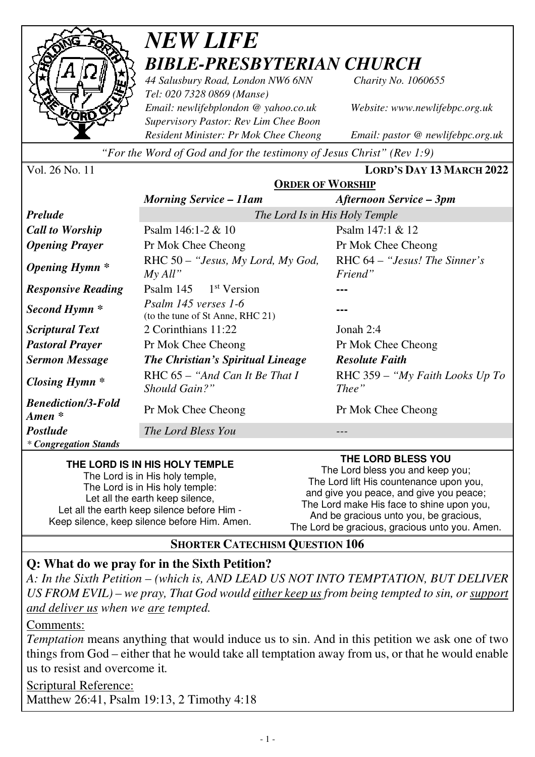

# *NEW LIFE BIBLE-PRESBYTERIAN CHURCH*

*44 Salusbury Road, London NW6 6NN Charity No. 1060655 Tel: 020 7328 0869 (Manse) Email: newlifebplondon @ yahoo.co.uk Website: www.newlifebpc.org.uk Supervisory Pastor: Rev Lim Chee Boon Resident Minister: Pr Mok Chee Cheong Email: pastor @ newlifebpc.org.uk* 

*"For the Word of God and for the testimony of Jesus Christ" (Rev 1:9)*

| Vol. 26 No. 11 |  |
|----------------|--|
|----------------|--|

Vol. 26 No. 11 **LORD'S DAY 13 MARCH 2022**

|                                                 | <b>ORDER OF WORSHIP</b>                                  |                                            |  |
|-------------------------------------------------|----------------------------------------------------------|--------------------------------------------|--|
|                                                 | <b>Morning Service – 11am</b>                            | Afternoon Service – 3pm                    |  |
| <b>Prelude</b>                                  | The Lord Is in His Holy Temple                           |                                            |  |
| <b>Call to Worship</b>                          | Psalm $146:1-2 & 10$                                     | Psalm 147:1 & 12                           |  |
| <b>Opening Prayer</b>                           | Pr Mok Chee Cheong                                       | Pr Mok Chee Cheong                         |  |
| <b>Opening Hymn</b> *                           | RHC $50 -$ "Jesus, My Lord, My God,<br>My All"           | RHC $64 -$ "Jesus! The Sinner's<br>Friend" |  |
| <b>Responsive Reading</b>                       | Psalm $145$ 1 <sup>st</sup> Version                      |                                            |  |
| Second Hymn *                                   | Psalm 145 verses 1-6<br>(to the tune of St Anne, RHC 21) |                                            |  |
| <b>Scriptural Text</b>                          | 2 Corinthians 11:22                                      | Jonah $2:4$                                |  |
| <b>Pastoral Prayer</b>                          | Pr Mok Chee Cheong                                       | Pr Mok Chee Cheong                         |  |
| <b>Sermon Message</b>                           | The Christian's Spiritual Lineage                        | <b>Resolute Faith</b>                      |  |
| Closing Hymn *                                  | RHC $65 - "And Can It Be That I$<br>Should Gain?"        | RHC 359 – "My Faith Looks Up To"<br>Thee"  |  |
| <b>Benediction/3-Fold</b><br>$A$ <i>men</i> $*$ | Pr Mok Chee Cheong                                       | Pr Mok Chee Cheong                         |  |
| <b>Postlude</b>                                 | The Lord Bless You                                       |                                            |  |
| <i>* Congregation Stands</i>                    |                                                          |                                            |  |

#### **THE LORD IS IN HIS HOLY TEMPLE**

The Lord is in His holy temple, The Lord is in His holy temple: Let all the earth keep silence, Let all the earth keep silence before Him - Keep silence, keep silence before Him. Amen.

**THE LORD BLESS YOU**  The Lord bless you and keep you; The Lord lift His countenance upon you, and give you peace, and give you peace; The Lord make His face to shine upon you, And be gracious unto you, be gracious,

The Lord be gracious, gracious unto you. Amen.

#### **SHORTER CATECHISM QUESTION 106**

# **Q: What do we pray for in the Sixth Petition?**

*A: In the Sixth Petition – (which is, AND LEAD US NOT INTO TEMPTATION, BUT DELIVER US FROM EVIL) – we pray, That God would either keep us from being tempted to sin, or support and deliver us when we are tempted.* 

#### Comments:

*Temptation* means anything that would induce us to sin. And in this petition we ask one of two things from God – either that he would take all temptation away from us, or that he would enable us to resist and overcome it*.*

Scriptural Reference: Matthew 26:41, Psalm 19:13, 2 Timothy 4:18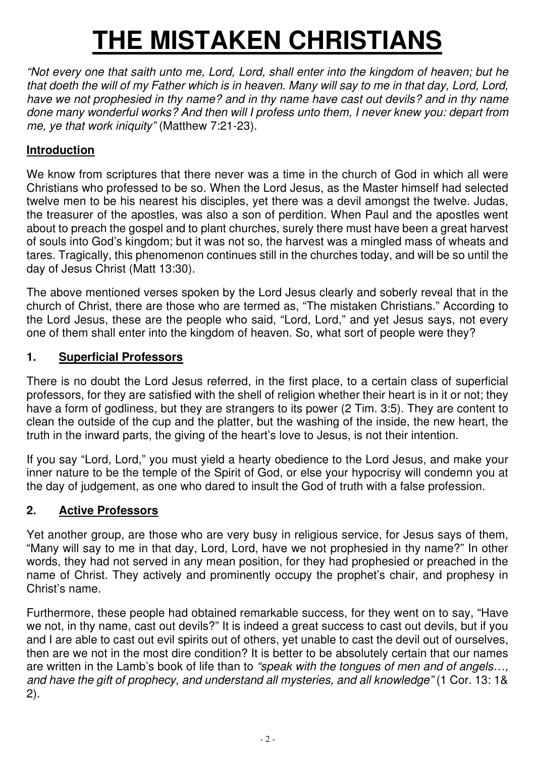# **THE MISTAKEN CHRISTIANS**

*"Not every one that saith unto me, Lord, Lord, shall enter into the kingdom of heaven; but he*  that doeth the will of my Father which is in heaven. Many will say to me in that day, Lord, Lord, *have we not prophesied in thy name? and in thy name have cast out devils? and in thy name done many wonderful works? And then will I profess unto them, I never knew you: depart from me, ye that work iniquity"* (Matthew 7:21-23).

## **Introduction**

We know from scriptures that there never was a time in the church of God in which all were Christians who professed to be so. When the Lord Jesus, as the Master himself had selected twelve men to be his nearest his disciples, yet there was a devil amongst the twelve. Judas, the treasurer of the apostles, was also a son of perdition. When Paul and the apostles went about to preach the gospel and to plant churches, surely there must have been a great harvest of souls into God's kingdom; but it was not so, the harvest was a mingled mass of wheats and tares. Tragically, this phenomenon continues still in the churches today, and will be so until the day of Jesus Christ (Matt 13:30).

The above mentioned verses spoken by the Lord Jesus clearly and soberly reveal that in the church of Christ, there are those who are termed as, "The mistaken Christians." According to the Lord Jesus, these are the people who said, "Lord, Lord," and yet Jesus says, not every one of them shall enter into the kingdom of heaven. So, what sort of people were they?

#### **1. Superficial Professors**

There is no doubt the Lord Jesus referred, in the first place, to a certain class of superficial professors, for they are satisfied with the shell of religion whether their heart is in it or not; they have a form of godliness, but they are strangers to its power (2 Tim. 3:5). They are content to clean the outside of the cup and the platter, but the washing of the inside, the new heart, the truth in the inward parts, the giving of the heart's love to Jesus, is not their intention.

If you say "Lord, Lord," you must yield a hearty obedience to the Lord Jesus, and make your inner nature to be the temple of the Spirit of God, or else your hypocrisy will condemn you at the day of judgement, as one who dared to insult the God of truth with a false profession.

## **2. Active Professors**

Yet another group, are those who are very busy in religious service, for Jesus says of them, "Many will say to me in that day, Lord, Lord, have we not prophesied in thy name?" In other words, they had not served in any mean position, for they had prophesied or preached in the name of Christ. They actively and prominently occupy the prophet's chair, and prophesy in Christ's name.

Furthermore, these people had obtained remarkable success, for they went on to say, "Have we not, in thy name, cast out devils?" It is indeed a great success to cast out devils, but if you and I are able to cast out evil spirits out of others, yet unable to cast the devil out of ourselves, then are we not in the most dire condition? It is better to be absolutely certain that our names are written in the Lamb's book of life than to *"speak with the tongues of men and of angels…, and have the gift of prophecy, and understand all mysteries, and all knowledge"* (1 Cor. 13: 1& 2).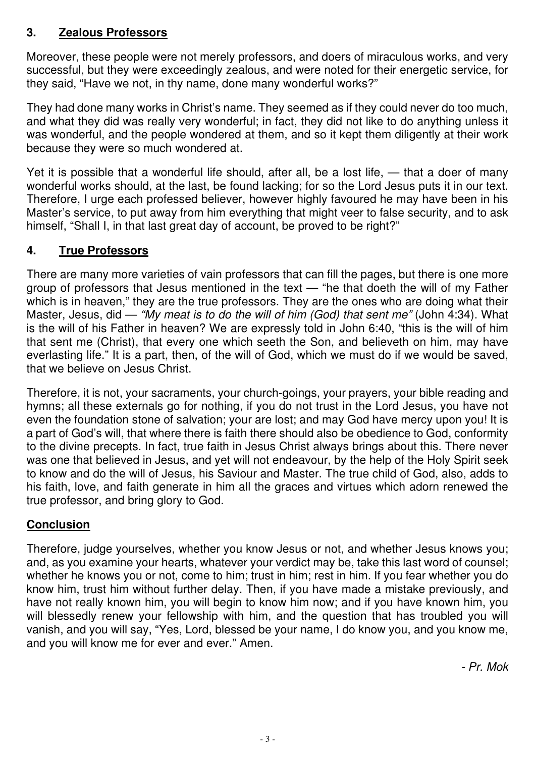## **3. Zealous Professors**

Moreover, these people were not merely professors, and doers of miraculous works, and very successful, but they were exceedingly zealous, and were noted for their energetic service, for they said, "Have we not, in thy name, done many wonderful works?"

They had done many works in Christ's name. They seemed as if they could never do too much, and what they did was really very wonderful; in fact, they did not like to do anything unless it was wonderful, and the people wondered at them, and so it kept them diligently at their work because they were so much wondered at.

Yet it is possible that a wonderful life should, after all, be a lost life, — that a doer of many wonderful works should, at the last, be found lacking; for so the Lord Jesus puts it in our text. Therefore, I urge each professed believer, however highly favoured he may have been in his Master's service, to put away from him everything that might veer to false security, and to ask himself, "Shall I, in that last great day of account, be proved to be right?"

## **4. True Professors**

There are many more varieties of vain professors that can fill the pages, but there is one more group of professors that Jesus mentioned in the text — "he that doeth the will of my Father which is in heaven," they are the true professors. They are the ones who are doing what their Master, Jesus, did — *"My meat is to do the will of him (God) that sent me"* (John 4:34). What is the will of his Father in heaven? We are expressly told in John 6:40, "this is the will of him that sent me (Christ), that every one which seeth the Son, and believeth on him, may have everlasting life." It is a part, then, of the will of God, which we must do if we would be saved, that we believe on Jesus Christ.

Therefore, it is not, your sacraments, your church-goings, your prayers, your bible reading and hymns; all these externals go for nothing, if you do not trust in the Lord Jesus, you have not even the foundation stone of salvation; your are lost; and may God have mercy upon you! It is a part of God's will, that where there is faith there should also be obedience to God, conformity to the divine precepts. In fact, true faith in Jesus Christ always brings about this. There never was one that believed in Jesus, and yet will not endeavour, by the help of the Holy Spirit seek to know and do the will of Jesus, his Saviour and Master. The true child of God, also, adds to his faith, love, and faith generate in him all the graces and virtues which adorn renewed the true professor, and bring glory to God.

## **Conclusion**

Therefore, judge yourselves, whether you know Jesus or not, and whether Jesus knows you; and, as you examine your hearts, whatever your verdict may be, take this last word of counsel; whether he knows you or not, come to him; trust in him; rest in him. If you fear whether you do know him, trust him without further delay. Then, if you have made a mistake previously, and have not really known him, you will begin to know him now; and if you have known him, you will blessedly renew your fellowship with him, and the question that has troubled you will vanish, and you will say, "Yes, Lord, blessed be your name, I do know you, and you know me, and you will know me for ever and ever." Amen.

*- Pr. Mok*